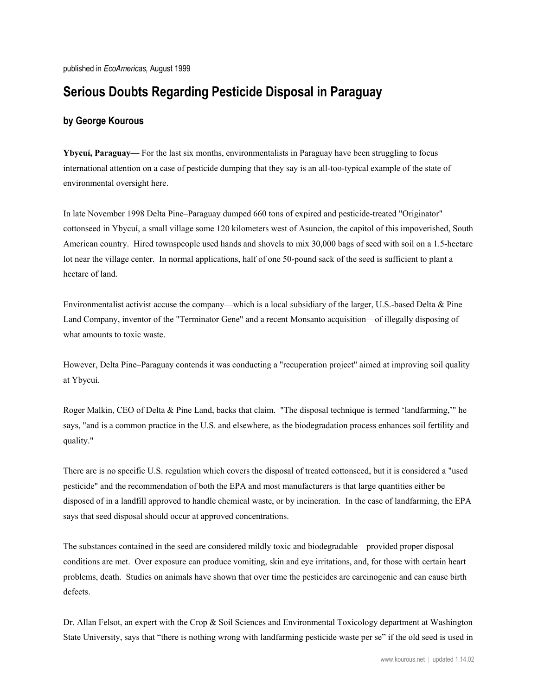published in *EcoAmericas,* August 1999

## **Serious Doubts Regarding Pesticide Disposal in Paraguay**

## **by George Kourous**

**Ybycuí, Paraguay—** For the last six months, environmentalists in Paraguay have been struggling to focus international attention on a case of pesticide dumping that they say is an all-too-typical example of the state of environmental oversight here.

In late November 1998 Delta Pine–Paraguay dumped 660 tons of expired and pesticide-treated "Originator" cottonseed in Ybycuí, a small village some 120 kilometers west of Asuncion, the capitol of this impoverished, South American country. Hired townspeople used hands and shovels to mix 30,000 bags of seed with soil on a 1.5-hectare lot near the village center. In normal applications, half of one 50-pound sack of the seed is sufficient to plant a hectare of land.

Environmentalist activist accuse the company—which is a local subsidiary of the larger, U.S.-based Delta & Pine Land Company, inventor of the "Terminator Gene" and a recent Monsanto acquisition—of illegally disposing of what amounts to toxic waste.

However, Delta Pine–Paraguay contends it was conducting a "recuperation project" aimed at improving soil quality at Ybycuí.

Roger Malkin, CEO of Delta & Pine Land, backs that claim. "The disposal technique is termed 'landfarming,'" he says, "and is a common practice in the U.S. and elsewhere, as the biodegradation process enhances soil fertility and quality."

There are is no specific U.S. regulation which covers the disposal of treated cottonseed, but it is considered a "used pesticide" and the recommendation of both the EPA and most manufacturers is that large quantities either be disposed of in a landfill approved to handle chemical waste, or by incineration. In the case of landfarming, the EPA says that seed disposal should occur at approved concentrations.

The substances contained in the seed are considered mildly toxic and biodegradable—provided proper disposal conditions are met. Over exposure can produce vomiting, skin and eye irritations, and, for those with certain heart problems, death. Studies on animals have shown that over time the pesticides are carcinogenic and can cause birth defects.

Dr. Allan Felsot, an expert with the Crop & Soil Sciences and Environmental Toxicology department at Washington State University, says that "there is nothing wrong with landfarming pesticide waste per se" if the old seed is used in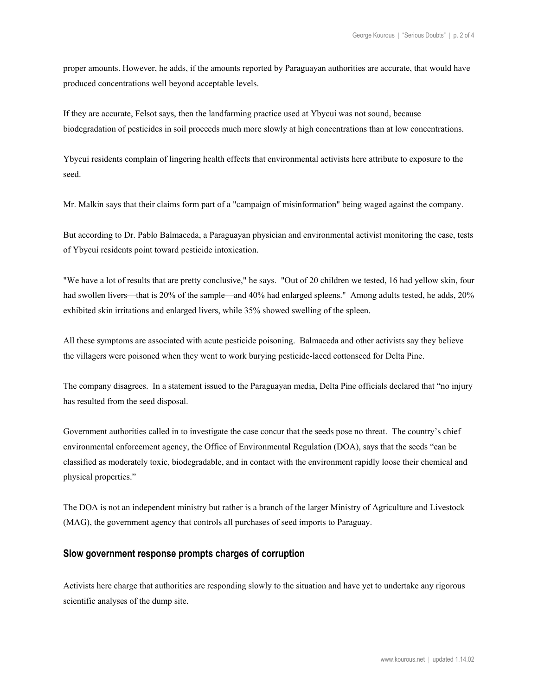proper amounts. However, he adds, if the amounts reported by Paraguayan authorities are accurate, that would have produced concentrations well beyond acceptable levels.

If they are accurate, Felsot says, then the landfarming practice used at Ybycuí was not sound, because biodegradation of pesticides in soil proceeds much more slowly at high concentrations than at low concentrations.

Ybycuí residents complain of lingering health effects that environmental activists here attribute to exposure to the seed.

Mr. Malkin says that their claims form part of a "campaign of misinformation" being waged against the company.

But according to Dr. Pablo Balmaceda, a Paraguayan physician and environmental activist monitoring the case, tests of Ybycuí residents point toward pesticide intoxication.

"We have a lot of results that are pretty conclusive," he says. "Out of 20 children we tested, 16 had yellow skin, four had swollen livers—that is 20% of the sample—and 40% had enlarged spleens." Among adults tested, he adds, 20% exhibited skin irritations and enlarged livers, while 35% showed swelling of the spleen.

All these symptoms are associated with acute pesticide poisoning. Balmaceda and other activists say they believe the villagers were poisoned when they went to work burying pesticide-laced cottonseed for Delta Pine.

The company disagrees. In a statement issued to the Paraguayan media, Delta Pine officials declared that "no injury has resulted from the seed disposal.

Government authorities called in to investigate the case concur that the seeds pose no threat. The country's chief environmental enforcement agency, the Office of Environmental Regulation (DOA), says that the seeds "can be classified as moderately toxic, biodegradable, and in contact with the environment rapidly loose their chemical and physical properties."

The DOA is not an independent ministry but rather is a branch of the larger Ministry of Agriculture and Livestock (MAG), the government agency that controls all purchases of seed imports to Paraguay.

## **Slow government response prompts charges of corruption**

Activists here charge that authorities are responding slowly to the situation and have yet to undertake any rigorous scientific analyses of the dump site.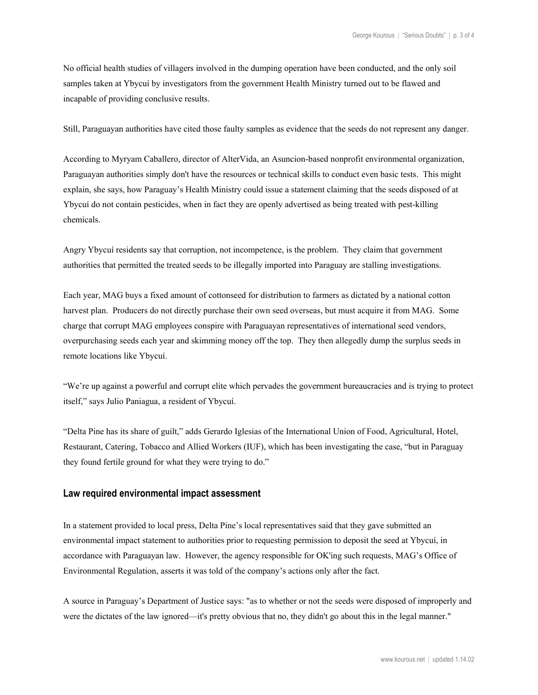No official health studies of villagers involved in the dumping operation have been conducted, and the only soil samples taken at Ybycuí by investigators from the government Health Ministry turned out to be flawed and incapable of providing conclusive results.

Still, Paraguayan authorities have cited those faulty samples as evidence that the seeds do not represent any danger.

According to Myryam Caballero, director of AlterVida, an Asuncion-based nonprofit environmental organization, Paraguayan authorities simply don't have the resources or technical skills to conduct even basic tests. This might explain, she says, how Paraguay's Health Ministry could issue a statement claiming that the seeds disposed of at Ybycuí do not contain pesticides, when in fact they are openly advertised as being treated with pest-killing chemicals.

Angry Ybycuí residents say that corruption, not incompetence, is the problem. They claim that government authorities that permitted the treated seeds to be illegally imported into Paraguay are stalling investigations.

Each year, MAG buys a fixed amount of cottonseed for distribution to farmers as dictated by a national cotton harvest plan. Producers do not directly purchase their own seed overseas, but must acquire it from MAG. Some charge that corrupt MAG employees conspire with Paraguayan representatives of international seed vendors, overpurchasing seeds each year and skimming money off the top. They then allegedly dump the surplus seeds in remote locations like Ybycuí.

"We're up against a powerful and corrupt elite which pervades the government bureaucracies and is trying to protect itself," says Julio Paniagua, a resident of Ybycuí.

"Delta Pine has its share of guilt," adds Gerardo Iglesias of the International Union of Food, Agricultural, Hotel, Restaurant, Catering, Tobacco and Allied Workers (IUF), which has been investigating the case, "but in Paraguay they found fertile ground for what they were trying to do."

## **Law required environmental impact assessment**

In a statement provided to local press, Delta Pine's local representatives said that they gave submitted an environmental impact statement to authorities prior to requesting permission to deposit the seed at Ybycuí, in accordance with Paraguayan law. However, the agency responsible for OK'ing such requests, MAG's Office of Environmental Regulation, asserts it was told of the company's actions only after the fact.

A source in Paraguay's Department of Justice says: "as to whether or not the seeds were disposed of improperly and were the dictates of the law ignored—it's pretty obvious that no, they didn't go about this in the legal manner."